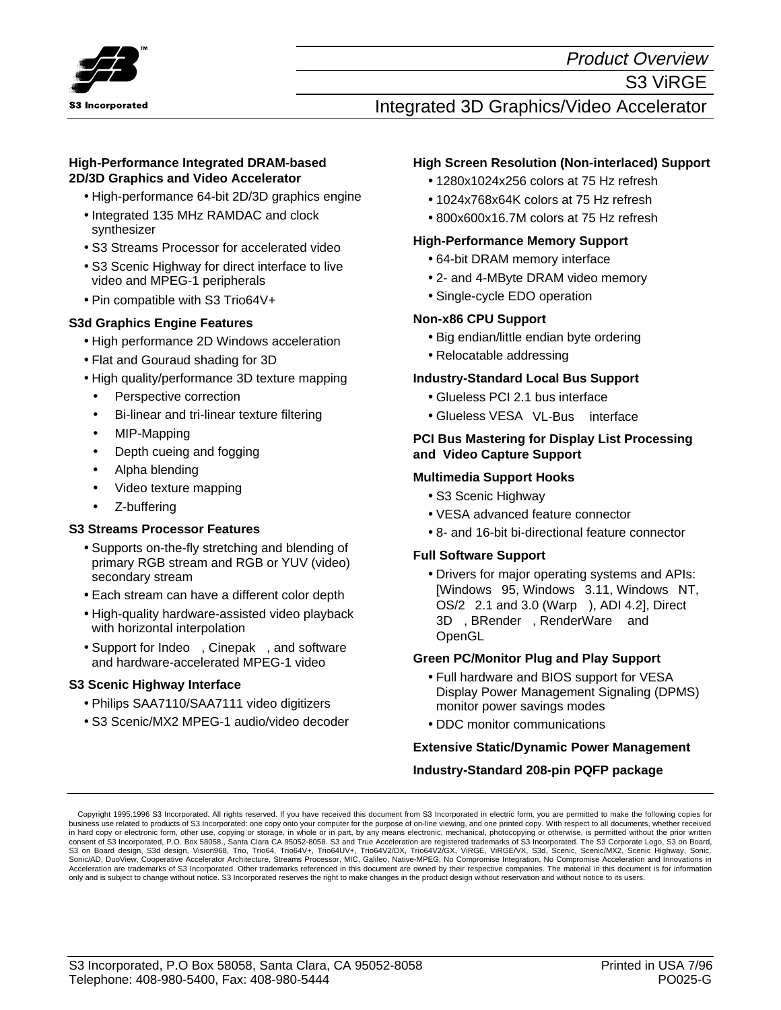

Product Overview

# Integrated 3D Graphics/Video Accelerator

#### **High-Performance Integrated DRAM-based 2D/3D Graphics and Video Accelerator**

- High-performance 64-bit 2D/3D graphics engine
- Integrated 135 MHz RAMDAC and clock synthesizer
- S3 Streams Processor for accelerated video
- S3 Scenic Highway for direct interface to live video and MPEG-1 peripherals
- $\bullet$  Pin compatible with S3 Trio64V+ $^{TM}$

### **S3d Graphics Engine Features**

- High performance 2D Windows acceleration
- Flat and Gouraud shading for 3D
- High quality/performance 3D texture mapping
- Perspective correction
- Bi-linear and tri-linear texture filtering
- MIP-Mapping
- Depth cueing and fogging
- Alpha blending
- Video texture mapping
- Z-buffering

### **S3 Streams Processor Features**

- Supports on-the-fly stretching and blending of primary RGB stream and RGB or YUV (video) secondary stream
- Each stream can have a different color depth
- High-quality hardware-assisted video playback with horizontal interpolation
- Support for Indeo<sup>TM</sup>, Cinepak<sup>TM</sup>, and software and hardware-accelerated MPEG-1 video

### **S3 Scenic Highway Interface**

- Philips SAA7110/SAA7111 video digitizers
- S3 Scenic/MX2 MPEG-1 audio/video decoder

### **High Screen Resolution (Non-interlaced) Support**

- 1280x1024x256 colors at 75 Hz refresh
- 1024x768x64K colors at 75 Hz refresh
- 800x600x16.7M colors at 75 Hz refresh

#### **High-Performance Memory Support**

- 64-bit DRAM memory interface
- 2- and 4-MByte DRAM video memory
- Single-cycle EDO operation

### **Non-x86 CPU Support**

- Big endian/little endian byte ordering
- Relocatable addressing

#### **Industry-Standard Local Bus Support**

- Glueless PCI 2.1 bus interface
- Glueless VESA<sup>©</sup> VL-Bus<sup>™</sup> interface

#### **PCI Bus Mastering for Display List Processing and Video Capture Support**

#### **Multimedia Support Hooks**

- S3 Scenic Highway
- VESA advanced feature connector
- 8- and 16-bit bi-directional feature connector

#### **Full Software Support**

• Drivers for major operating systems and APIs: [Windows $^\circ$  95, Windows $^\circ$  3.11, Windows $^\circ$  NT,  $OS/2^{\circ}$  2.1 and 3.0 (Warp<sup>TM</sup>), ADI 4.2], Direct 3D™, BRender™, RenderWare™ and OpenGL™

### **Green PC/Monitor Plug and Play Support**

- Full hardware and BIOS support for VESA Display Power Management Signaling (DPMS) monitor power savings modes
- DDC monitor communications

### **Extensive Static/Dynamic Power Management**

#### **Industry-Standard 208-pin PQFP package**

Copyright 1995,1996 S3 Incorporated. All rights reserved. If you have received this document from S3 Incorporated in electric form, you are permitted to make the following copies for business use related to products of S3 Incorporated: one copy onto your computer for the purpose of on-line viewing, and one printed copy. With respect to all documents, whether received<br>in hard copy or electronic form, ot consent of S3 Incorporated, P.O. Box 58058., Santa Clara CA 95052-8058. S3 and True Acceleration are registered trademarks of S3 Incorporated. The S3 Corporate Logo, S3 on Board, S3 on Board design, S3d design, Vision968, Trio, Trio64, Trio64V+, Trio64U2/+, Trio64V2/DX, Trio64V2/GX, ViRGE, ViRGE/VX, S3d, Scenic, Scenic/MX2, Scenic Highway, Sonic,<br>Sonic/AD, DuoView, Cooperative Accelerator Architect Acceleration are trademarks of S3 Incorporated. Other trademarks referenced in this document are owned by their respective companies. The material in this document is for information only and is subject to change without notice. S3 Incorporated reserves the right to make changes in the product design without reservation and without notice to its users.